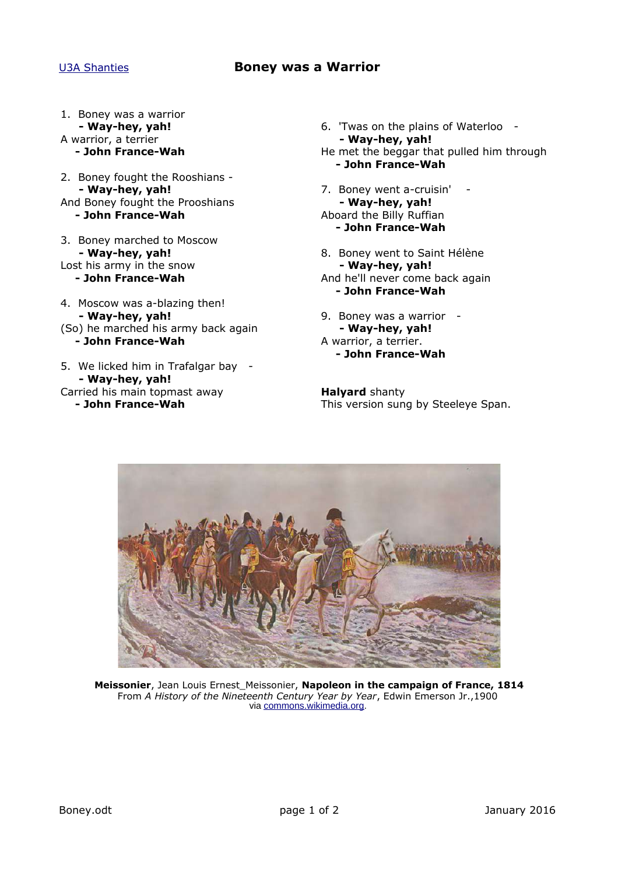## [U3A Shanties](http://www.janetelizabeth.org.uk/shanties/u3ashantieslink.html) **Boney was a Warrior**

- 1. Boney was a warrior **- Way-hey, yah!**
- A warrior, a terrier **- John France-Wah**
- 2. Boney fought the Rooshians **- Way-hey, yah!** And Boney fought the Prooshians **- John France-Wah**
- 3. Boney marched to Moscow **- Way-hey, yah!** Lost his army in the snow **- John France-Wah**
- 4. Moscow was a-blazing then! **- Way-hey, yah!** (So) he marched his army back again **- John France-Wah**
- 5. We licked him in Trafalgar bay **- Way-hey, yah!** Carried his main topmast away **- John France-Wah**
- 6. 'Twas on the plains of Waterloo **- Way-hey, yah!** He met the beggar that pulled him through **- John France-Wah**
- 7. Boney went a-cruisin' **- Way-hey, yah!** Aboard the Billy Ruffian **- John France-Wah**
- 8. Boney went to Saint Hélène **- Way-hey, yah!** And he'll never come back again **- John France-Wah**
- 9. Boney was a warrior **- Way-hey, yah!** A warrior, a terrier. **- John France-Wah**

**Halyard** shanty This version sung by Steeleye Span.



**Meissonier**, Jean Louis Ernest\_Meissonier, **Napoleon in the campaign of France, 1814** From *A History of the Nineteenth Century Year by Year*, Edwin Emerson Jr.,1900 via [commons.wikimedia.org.](http://commons.wikimedia.org/)